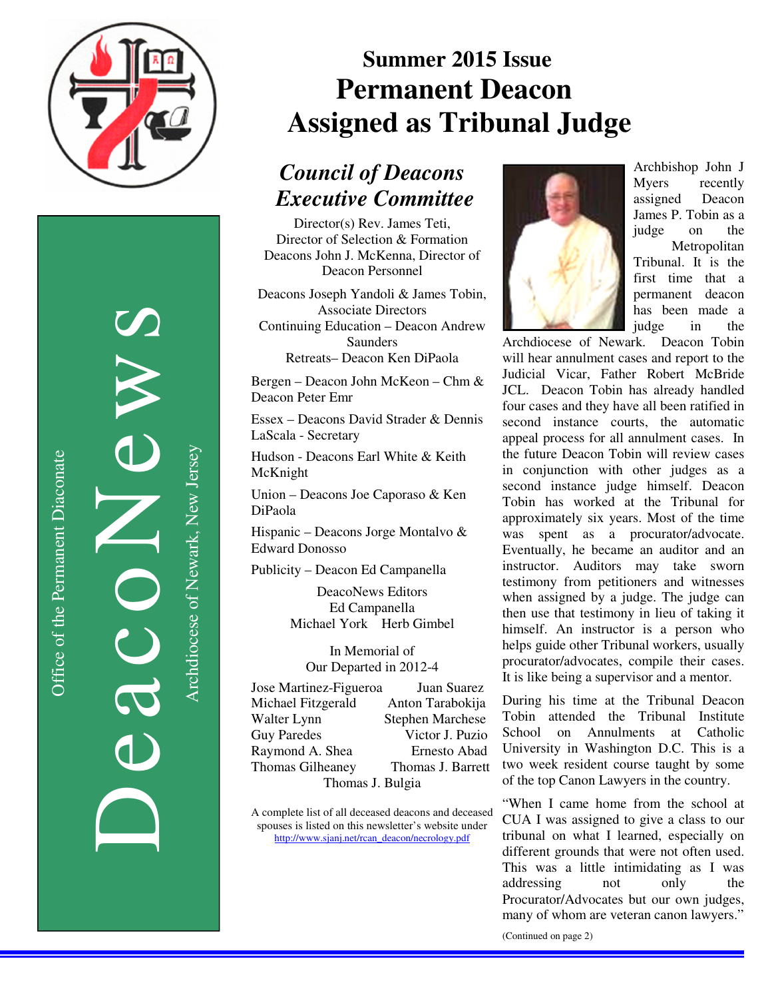

Office of the Permanent Diaconate

Office of the Permanent Diaconate

DeacoNews News NES

Archdiocese of Newark, New Jersey Archdiocese of Newark, New Jersey

# **Summer 2015 Issue Permanent Deacon**  *Assigned as Tribunal Judge*

#### *Council of Deacons Executive Committee*

Director(s) Rev. James Teti, Director of Selection & Formation Deacons John J. McKenna, Director of Deacon Personnel

Deacons Joseph Yandoli & James Tobin, Associate Directors Continuing Education – Deacon Andrew **Saunders** Retreats– Deacon Ken DiPaola

Bergen – Deacon John McKeon – Chm & Deacon Peter Emr

Essex – Deacons David Strader & Dennis LaScala - Secretary

Hudson - Deacons Earl White & Keith McKnight

Union – Deacons Joe Caporaso & Ken DiPaola

Hispanic – Deacons Jorge Montalvo & Edward Donosso

Publicity – Deacon Ed Campanella

DeacoNews Editors Ed Campanella Michael York Herb Gimbel

In Memorial of Our Departed in 2012-4

| Jose Martinez-Figueroa | Juan Suarez             |
|------------------------|-------------------------|
| Michael Fitzgerald     | Anton Tarabokija        |
| Walter Lynn            | <b>Stephen Marchese</b> |
| <b>Guy Paredes</b>     | Victor J. Puzio         |
| Raymond A. Shea        | Ernesto Abad            |
| Thomas Gilheaney       | Thomas J. Barrett       |
| Thomas J. Bulgia       |                         |

A complete list of all deceased deacons and deceased spouses is listed on this newsletter's website under http://www.sjanj.net/rcan\_deacon/necrology.pdf



Archbishop John J Myers recently assigned Deacon James P. Tobin as a judge on the Metropolitan Tribunal. It is the first time that a permanent deacon has been made a judge in the

Archdiocese of Newark. Deacon Tobin will hear annulment cases and report to the Judicial Vicar, Father Robert McBride JCL. Deacon Tobin has already handled four cases and they have all been ratified in second instance courts, the automatic appeal process for all annulment cases. In the future Deacon Tobin will review cases in conjunction with other judges as a second instance judge himself. Deacon Tobin has worked at the Tribunal for approximately six years. Most of the time was spent as a procurator/advocate. Eventually, he became an auditor and an instructor. Auditors may take sworn testimony from petitioners and witnesses when assigned by a judge. The judge can then use that testimony in lieu of taking it himself. An instructor is a person who helps guide other Tribunal workers, usually procurator/advocates, compile their cases. It is like being a supervisor and a mentor.

During his time at the Tribunal Deacon Tobin attended the Tribunal Institute School on Annulments at Catholic University in Washington D.C. This is a two week resident course taught by some of the top Canon Lawyers in the country.

"When I came home from the school at CUA I was assigned to give a class to our tribunal on what I learned, especially on different grounds that were not often used. This was a little intimidating as I was addressing not only the Procurator/Advocates but our own judges, many of whom are veteran canon lawyers."

(Continued on page 2)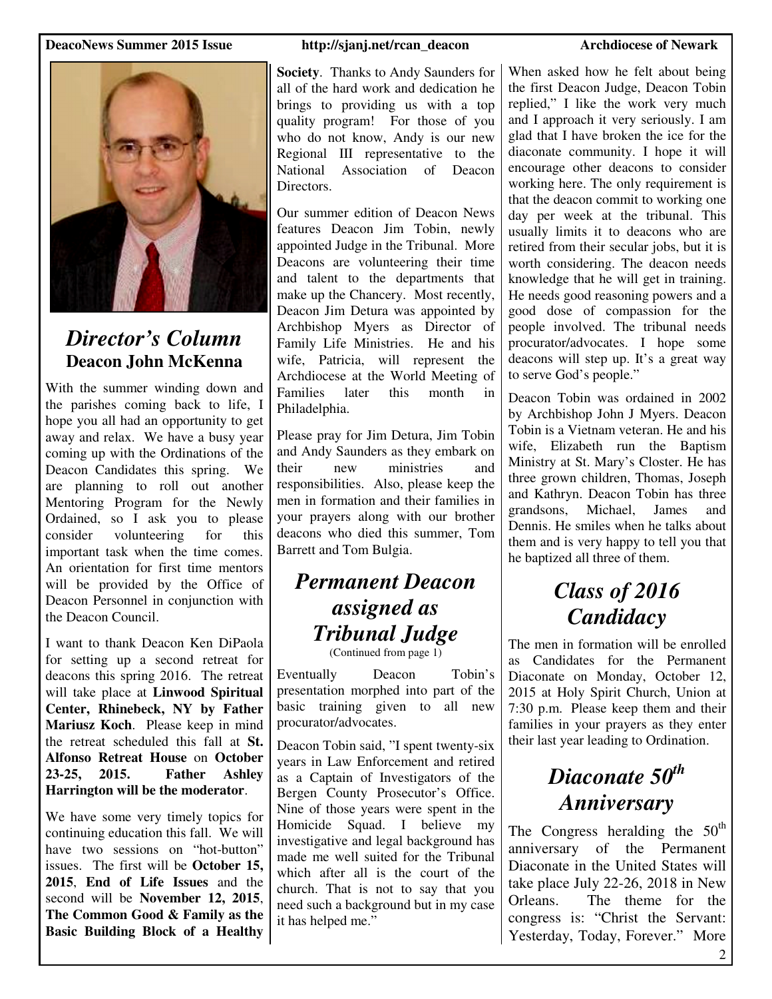#### **DeacoNews Summer 2015 Issue http://sjanj.net/rcan\_deacon Archdiocese of Newark**



#### *Director's Column*  **Deacon John McKenna**

With the summer winding down and the parishes coming back to life, I hope you all had an opportunity to get away and relax. We have a busy year coming up with the Ordinations of the Deacon Candidates this spring. We are planning to roll out another Mentoring Program for the Newly Ordained, so I ask you to please consider volunteering for this important task when the time comes. An orientation for first time mentors will be provided by the Office of Deacon Personnel in conjunction with the Deacon Council.

I want to thank Deacon Ken DiPaola for setting up a second retreat for deacons this spring 2016. The retreat will take place at **Linwood Spiritual Center, Rhinebeck, NY by Father Mariusz Koch**. Please keep in mind the retreat scheduled this fall at **St. Alfonso Retreat House** on **October 23-25, 2015. Father Ashley Harrington will be the moderator**.

We have some very timely topics for continuing education this fall. We will have two sessions on "hot-button" issues. The first will be **October 15, 2015**, **End of Life Issues** and the second will be **November 12, 2015**, **The Common Good & Family as the Basic Building Block of a Healthy** 

**Society**. Thanks to Andy Saunders for all of the hard work and dedication he brings to providing us with a top quality program! For those of you who do not know, Andy is our new Regional III representative to the National Association of Deacon Directors.

Our summer edition of Deacon News features Deacon Jim Tobin, newly appointed Judge in the Tribunal. More Deacons are volunteering their time and talent to the departments that make up the Chancery. Most recently, Deacon Jim Detura was appointed by Archbishop Myers as Director of Family Life Ministries. He and his wife, Patricia, will represent the Archdiocese at the World Meeting of Families later this month in Philadelphia.

Please pray for Jim Detura, Jim Tobin and Andy Saunders as they embark on their new ministries and responsibilities. Also, please keep the men in formation and their families in your prayers along with our brother deacons who died this summer, Tom Barrett and Tom Bulgia.

### *Permanent Deacon assigned as Tribunal Judge*

(Continued from page 1)

Eventually Deacon Tobin's presentation morphed into part of the basic training given to all new procurator/advocates.

Deacon Tobin said, "I spent twenty-six years in Law Enforcement and retired as a Captain of Investigators of the Bergen County Prosecutor's Office. Nine of those years were spent in the Homicide Squad. I believe my investigative and legal background has made me well suited for the Tribunal which after all is the court of the church. That is not to say that you need such a background but in my case it has helped me."

When asked how he felt about being the first Deacon Judge, Deacon Tobin replied," I like the work very much and I approach it very seriously. I am glad that I have broken the ice for the diaconate community. I hope it will encourage other deacons to consider working here. The only requirement is that the deacon commit to working one day per week at the tribunal. This usually limits it to deacons who are retired from their secular jobs, but it is worth considering. The deacon needs knowledge that he will get in training. He needs good reasoning powers and a good dose of compassion for the people involved. The tribunal needs procurator/advocates. I hope some deacons will step up. It's a great way to serve God's people."

Deacon Tobin was ordained in 2002 by Archbishop John J Myers. Deacon Tobin is a Vietnam veteran. He and his wife, Elizabeth run the Baptism Ministry at St. Mary's Closter. He has three grown children, Thomas, Joseph and Kathryn. Deacon Tobin has three grandsons, Michael, James and Dennis. He smiles when he talks about them and is very happy to tell you that he baptized all three of them.

## *Class of 2016 Candidacy*

The men in formation will be enrolled as Candidates for the Permanent Diaconate on Monday, October 12, 2015 at Holy Spirit Church, Union at 7:30 p.m. Please keep them and their families in your prayers as they enter their last year leading to Ordination.

## *Diaconate 50th Anniversary*

The Congress heralding the  $50<sup>th</sup>$ anniversary of the Permanent Diaconate in the United States will take place July 22-26, 2018 in New Orleans. The theme for the congress is: "Christ the Servant: Yesterday, Today, Forever." More

2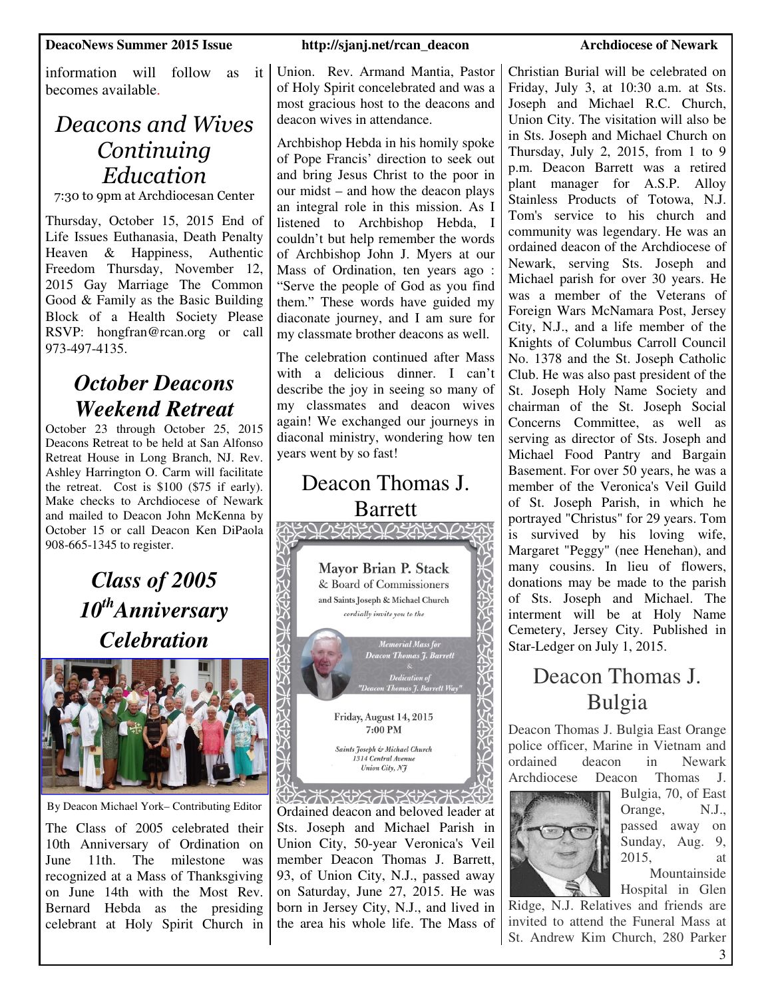information will follow as it becomes available.

### *Deacons and Wives Continuing Education*

7:30 to 9pm at Archdiocesan Center

Thursday, October 15, 2015 End of Life Issues Euthanasia, Death Penalty Heaven & Happiness, Authentic Freedom Thursday, November 12, 2015 Gay Marriage The Common Good & Family as the Basic Building Block of a Health Society Please RSVP: hongfran@rcan.org or call 973-497-4135.

#### *October Deacons Weekend Retreat*

October 23 through October 25, 2015 Deacons Retreat to be held at San Alfonso Retreat House in Long Branch, NJ. Rev. Ashley Harrington O. Carm will facilitate the retreat. Cost is \$100 (\$75 if early). Make checks to Archdiocese of Newark and mailed to Deacon John McKenna by October 15 or call Deacon Ken DiPaola 908-665-1345 to register.

> *Class of 2005 10thAnniversary Celebration*



By Deacon Michael York– Contributing Editor

The Class of 2005 celebrated their 10th Anniversary of Ordination on June 11th. The milestone was recognized at a Mass of Thanksgiving on June 14th with the Most Rev. Bernard Hebda as the presiding celebrant at Holy Spirit Church in Union. Rev. Armand Mantia, Pastor of Holy Spirit concelebrated and was a most gracious host to the deacons and deacon wives in attendance.

Archbishop Hebda in his homily spoke of Pope Francis' direction to seek out and bring Jesus Christ to the poor in our midst – and how the deacon plays an integral role in this mission. As I listened to Archbishop Hebda, I couldn't but help remember the words of Archbishop John J. Myers at our Mass of Ordination, ten years ago : "Serve the people of God as you find them." These words have guided my diaconate journey, and I am sure for my classmate brother deacons as well.

The celebration continued after Mass with a delicious dinner. I can't describe the joy in seeing so many of my classmates and deacon wives again! We exchanged our journeys in diaconal ministry, wondering how ten years went by so fast!

#### Deacon Thomas J. Barrett<br>ABQ*OB*ABQ*OB*ABQ*OB* Mayor Brian P. Stack & Board of Commissioners and Saints Joseph & Michael Church **ASS** cordially invite you to the **Memorial Mass fo Deacon Thomas 7. Barrett** C Z Friday, August 14, 2015 7:00 PM Saints Joseph & Michael Church 1314 Central Avenue Union City, N7

(5)35753525753525252525 Ordained deacon and beloved leader at Sts. Joseph and Michael Parish in Union City, 50-year Veronica's Veil member Deacon Thomas J. Barrett, 93, of Union City, N.J., passed away on Saturday, June 27, 2015. He was born in Jersey City, N.J., and lived in the area his whole life. The Mass of

Christian Burial will be celebrated on Friday, July 3, at 10:30 a.m. at Sts. Joseph and Michael R.C. Church, Union City. The visitation will also be in Sts. Joseph and Michael Church on Thursday, July 2, 2015, from 1 to 9 p.m. Deacon Barrett was a retired plant manager for A.S.P. Alloy Stainless Products of Totowa, N.J. Tom's service to his church and community was legendary. He was an ordained deacon of the Archdiocese of Newark, serving Sts. Joseph and Michael parish for over 30 years. He was a member of the Veterans of Foreign Wars McNamara Post, Jersey City, N.J., and a life member of the Knights of Columbus Carroll Council No. 1378 and the St. Joseph Catholic Club. He was also past president of the St. Joseph Holy Name Society and chairman of the St. Joseph Social Concerns Committee, as well as serving as director of Sts. Joseph and Michael Food Pantry and Bargain Basement. For over 50 years, he was a member of the Veronica's Veil Guild of St. Joseph Parish, in which he portrayed "Christus" for 29 years. Tom is survived by his loving wife, Margaret "Peggy" (nee Henehan), and many cousins. In lieu of flowers, donations may be made to the parish of Sts. Joseph and Michael. The interment will be at Holy Name Cemetery, Jersey City. Published in Star-Ledger on July 1, 2015.

#### Deacon Thomas J. Bulgia

Deacon Thomas J. Bulgia East Orange police officer, Marine in Vietnam and ordained deacon in Newark Archdiocese Deacon Thomas J.



Bulgia, 70, of East Orange, N.J., passed away on Sunday, Aug. 9, 2015, at Mountainside

Hospital in Glen Ridge, N.J. Relatives and friends are invited to attend the Funeral Mass at St. Andrew Kim Church, 280 Parker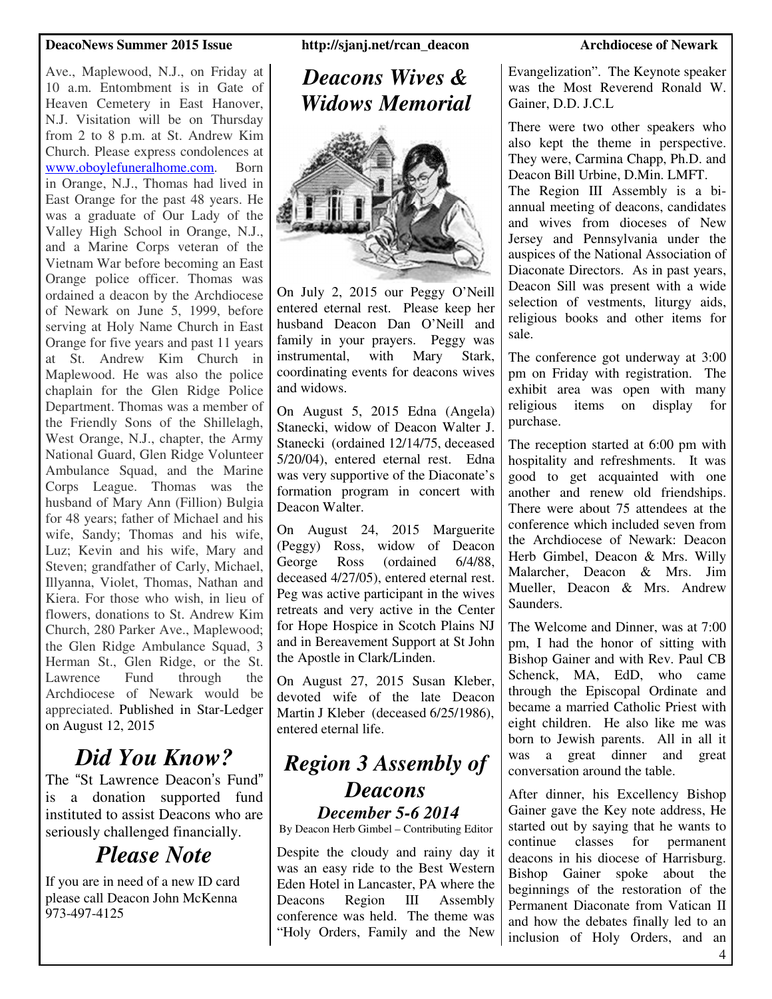#### **DeacoNews Summer 2015 Issue http://sjanj.net/rcan\_deacon Archdiocese of Newark**

Ave., Maplewood, N.J., on Friday at 10 a.m. Entombment is in Gate of Heaven Cemetery in East Hanover, N.J. Visitation will be on Thursday from 2 to 8 p.m. at St. Andrew Kim Church. Please express condolences at www.oboylefuneralhome.com. Born in Orange, N.J., Thomas had lived in East Orange for the past 48 years. He was a graduate of Our Lady of the Valley High School in Orange, N.J., and a Marine Corps veteran of the Vietnam War before becoming an East Orange police officer. Thomas was ordained a deacon by the Archdiocese of Newark on June 5, 1999, before serving at Holy Name Church in East Orange for five years and past 11 years at St. Andrew Kim Church in Maplewood. He was also the police chaplain for the Glen Ridge Police Department. Thomas was a member of the Friendly Sons of the Shillelagh, West Orange, N.J., chapter, the Army National Guard, Glen Ridge Volunteer Ambulance Squad, and the Marine Corps League. Thomas was the husband of Mary Ann (Fillion) Bulgia for 48 years; father of Michael and his wife, Sandy; Thomas and his wife, Luz; Kevin and his wife, Mary and Steven; grandfather of Carly, Michael, Illyanna, Violet, Thomas, Nathan and Kiera. For those who wish, in lieu of flowers, donations to St. Andrew Kim Church, 280 Parker Ave., Maplewood; the Glen Ridge Ambulance Squad, 3 Herman St., Glen Ridge, or the St. Lawrence Fund through the Archdiocese of Newark would be appreciated. Published in Star-Ledger on August 12, 2015

## *Did You Know?*

The "St Lawrence Deacon's Fund" is a donation supported fund instituted to assist Deacons who are seriously challenged financially.

### *Please Note*

If you are in need of a new ID card please call Deacon John McKenna 973-497-4125

#### *Deacons Wives & Widows Memorial*



On July 2, 2015 our Peggy O'Neill entered eternal rest. Please keep her husband Deacon Dan O'Neill and family in your prayers. Peggy was instrumental, with Mary Stark, coordinating events for deacons wives and widows.

On August 5, 2015 Edna (Angela) Stanecki, widow of Deacon Walter J. Stanecki (ordained 12/14/75, deceased 5/20/04), entered eternal rest. Edna was very supportive of the Diaconate's formation program in concert with Deacon Walter.

On August 24, 2015 Marguerite (Peggy) Ross, widow of Deacon George Ross (ordained 6/4/88, deceased 4/27/05), entered eternal rest. Peg was active participant in the wives retreats and very active in the Center for Hope Hospice in Scotch Plains NJ and in Bereavement Support at St John the Apostle in Clark/Linden.

On August 27, 2015 Susan Kleber, devoted wife of the late Deacon Martin J Kleber (deceased 6/25/1986), entered eternal life.

## *Region 3 Assembly of Deacons*

*December 5-6 2014*  By Deacon Herb Gimbel – Contributing Editor

Despite the cloudy and rainy day it was an easy ride to the Best Western Eden Hotel in Lancaster, PA where the Deacons Region III Assembly conference was held. The theme was "Holy Orders, Family and the New

Evangelization". The Keynote speaker was the Most Reverend Ronald W. Gainer, D.D. J.C.L

There were two other speakers who also kept the theme in perspective. They were, Carmina Chapp, Ph.D. and Deacon Bill Urbine, D.Min. LMFT. The Region III Assembly is a biannual meeting of deacons, candidates and wives from dioceses of New Jersey and Pennsylvania under the auspices of the National Association of Diaconate Directors. As in past years, Deacon Sill was present with a wide selection of vestments, liturgy aids, religious books and other items for sale.

The conference got underway at 3:00 pm on Friday with registration. The exhibit area was open with many religious items on display for purchase.

The reception started at 6:00 pm with hospitality and refreshments. It was good to get acquainted with one another and renew old friendships. There were about 75 attendees at the conference which included seven from the Archdiocese of Newark: Deacon Herb Gimbel, Deacon & Mrs. Willy Malarcher, Deacon & Mrs. Jim Mueller, Deacon & Mrs. Andrew **Saunders** 

The Welcome and Dinner, was at 7:00 pm, I had the honor of sitting with Bishop Gainer and with Rev. Paul CB Schenck, MA, EdD, who came through the Episcopal Ordinate and became a married Catholic Priest with eight children. He also like me was born to Jewish parents. All in all it was a great dinner and great conversation around the table.

After dinner, his Excellency Bishop Gainer gave the Key note address, He started out by saying that he wants to<br>continue classes for permanent continue classes for permanent deacons in his diocese of Harrisburg. Bishop Gainer spoke about the beginnings of the restoration of the Permanent Diaconate from Vatican II and how the debates finally led to an inclusion of Holy Orders, and an

4